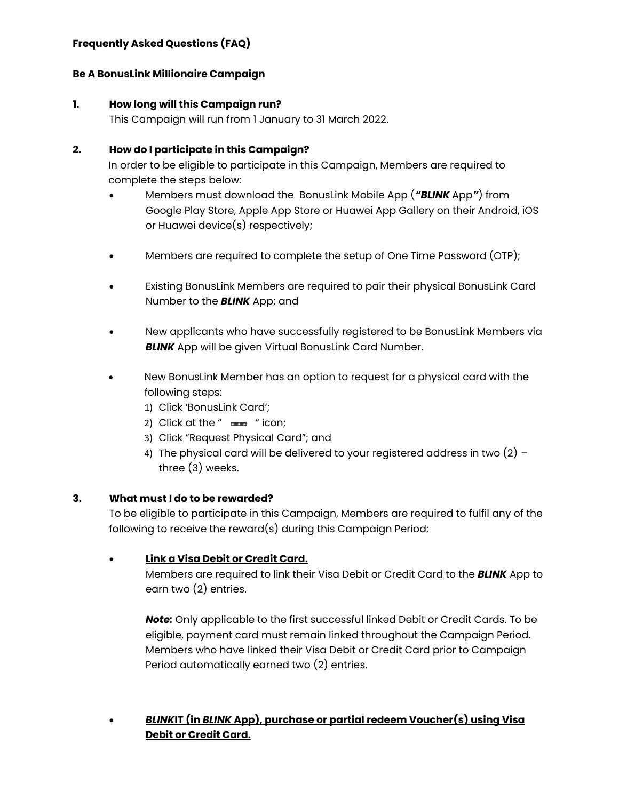## **Frequently Asked Questions (FAQ)**

### **Be A BonusLink Millionaire Campaign**

### **1. How long will this Campaign run?**

This Campaign will run from 1 January to 31 March 2022.

### **2. How do I participate in this Campaign?**

In order to be eligible to participate in this Campaign, Members are required to complete the steps below:

- Members must download the BonusLink Mobile App (*"BLINK* App*"*) from Google Play Store, Apple App Store or Huawei App Gallery on their Android, iOS or Huawei device(s) respectively;
- Members are required to complete the setup of One Time Password (OTP);
- Existing BonusLink Members are required to pair their physical BonusLink Card Number to the *BLINK* App; and
- New applicants who have successfully registered to be BonusLink Members via **BLINK** App will be given Virtual BonusLink Card Number.
- New BonusLink Member has an option to request for a physical card with the following steps:
	- 1) Click 'BonusLink Card';
	- 2) Click at the " $\equiv$ " icon;
	- 3) Click "Request Physical Card"; and
	- 4) The physical card will be delivered to your registered address in two  $(2)$  three (3) weeks.

### **3. What must I do to be rewarded?**

To be eligible to participate in this Campaign, Members are required to fulfil any of the following to receive the reward(s) during this Campaign Period:

### • **Link a Visa Debit or Credit Card.**

Members are required to link their Visa Debit or Credit Card to the *BLINK* App to earn two (2) entries.

*Note:* Only applicable to the first successful linked Debit or Credit Cards. To be eligible, payment card must remain linked throughout the Campaign Period. Members who have linked their Visa Debit or Credit Card prior to Campaign Period automatically earned two (2) entries.

• *BLINK***IT (in** *BLINK* **App), purchase or partial redeem Voucher(s) using Visa Debit or Credit Card.**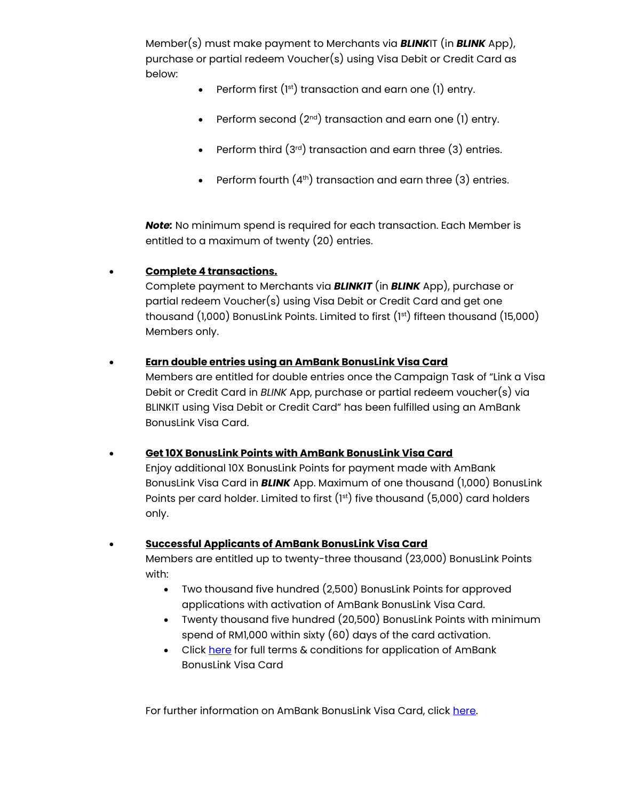Member(s) must make payment to Merchants via *BLINK*IT (in *BLINK* App), purchase or partial redeem Voucher(s) using Visa Debit or Credit Card as below:

- Perform first  $(1<sup>st</sup>)$  transaction and earn one  $(1)$  entry.
- Perform second  $(2^{nd})$  transaction and earn one  $(1)$  entry.
- Perform third  $(3^{rd})$  transaction and earn three  $(3)$  entries.
- Perform fourth  $(4<sup>th</sup>)$  transaction and earn three  $(3)$  entries.

*Note:* No minimum spend is required for each transaction. Each Member is entitled to a maximum of twenty (20) entries.

## • **Complete 4 transactions.**

Complete payment to Merchants via *BLINKIT* (in *BLINK* App), purchase or partial redeem Voucher(s) using Visa Debit or Credit Card and get one thousand  $(1,000)$  BonusLink Points. Limited to first  $(1^{st})$  fifteen thousand  $(15,000)$ Members only.

## • **Earn double entries using an AmBank BonusLink Visa Card**

Members are entitled for double entries once the Campaign Task of "Link a Visa Debit or Credit Card in *BLINK* App, purchase or partial redeem voucher(s) via BLINKIT using Visa Debit or Credit Card" has been fulfilled using an AmBank BonusLink Visa Card.

### • **Get 10X BonusLink Points with AmBank BonusLink Visa Card**

Enjoy additional 10X BonusLink Points for payment made with AmBank BonusLink Visa Card in *BLINK* App. Maximum of one thousand (1,000) BonusLink Points per card holder. Limited to first  $(1^{st})$  five thousand  $(5,000)$  card holders only.

### • **Successful Applicants of AmBank BonusLink Visa Card**

Members are entitled up to twenty-three thousand (23,000) BonusLink Points with:

- Two thousand five hundred (2,500) BonusLink Points for approved applications with activation of AmBank BonusLink Visa Card.
- Twenty thousand five hundred (20,500) BonusLink Points with minimum spend of RM1,000 within sixty (60) days of the card activation.
- Click [here](https://www.ambank.com.my/ambank/SiteAssets/SitePages/simple/terms-and-conditions/BonusLinkTargettedbaseCampaignTnC.pdf) for full terms & conditions for application of AmBank BonusLink Visa Card

For further information on AmBank BonusLink Visa Card, click [here.](https://www.ambank.com.my/eng/cards/AmBank-BonusLink-Visa-Card)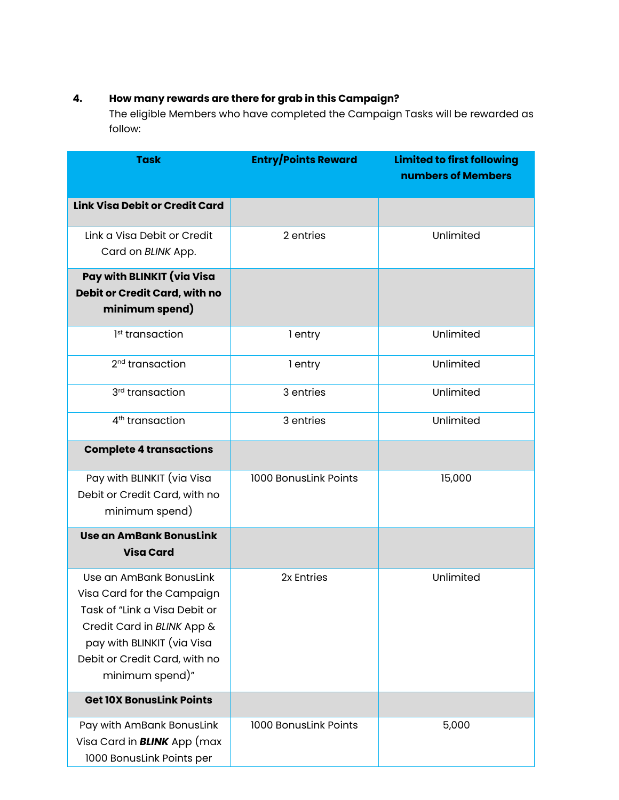# **4. How many rewards are there for grab in this Campaign?**

The eligible Members who have completed the Campaign Tasks will be rewarded as follow:

| <b>Task</b>                                                                                                                                                                                            | <b>Entry/Points Reward</b> | <b>Limited to first following</b><br>numbers of Members |
|--------------------------------------------------------------------------------------------------------------------------------------------------------------------------------------------------------|----------------------------|---------------------------------------------------------|
| <b>Link Visa Debit or Credit Card</b>                                                                                                                                                                  |                            |                                                         |
| Link a Visa Debit or Credit<br>Card on BLINK App.                                                                                                                                                      | 2 entries                  | Unlimited                                               |
| Pay with BLINKIT (via Visa<br>Debit or Credit Card, with no<br>minimum spend)                                                                                                                          |                            |                                                         |
| 1 <sup>st</sup> transaction                                                                                                                                                                            | 1 entry                    | Unlimited                                               |
| 2 <sup>nd</sup> transaction                                                                                                                                                                            | 1 entry                    | Unlimited                                               |
| 3 <sup>rd</sup> transaction                                                                                                                                                                            | 3 entries                  | Unlimited                                               |
| 4 <sup>th</sup> transaction                                                                                                                                                                            | 3 entries                  | Unlimited                                               |
| <b>Complete 4 transactions</b>                                                                                                                                                                         |                            |                                                         |
| Pay with BLINKIT (via Visa<br>Debit or Credit Card, with no<br>minimum spend)                                                                                                                          | 1000 BonusLink Points      | 15,000                                                  |
| <b>Use an AmBank BonusLink</b><br><b>Visa Card</b>                                                                                                                                                     |                            |                                                         |
| Use an AmBank BonusLink<br>Visa Card for the Campaign<br>Task of "Link a Visa Debit or<br>Credit Card in BLINK App &<br>pay with BLINKIT (via Visa<br>Debit or Credit Card, with no<br>minimum spend)" | 2x Entries                 | Unlimited                                               |
| <b>Get 10X BonusLink Points</b>                                                                                                                                                                        |                            |                                                         |
| Pay with AmBank BonusLink<br>Visa Card in <b>BLINK</b> App (max<br>1000 BonusLink Points per                                                                                                           | 1000 BonusLink Points      | 5,000                                                   |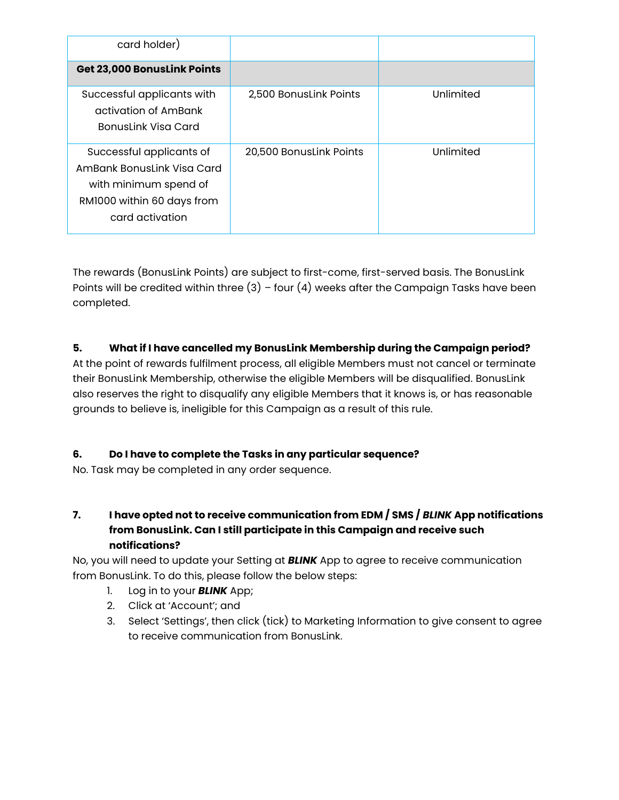| card holder)                                                                                                                     |                         |           |
|----------------------------------------------------------------------------------------------------------------------------------|-------------------------|-----------|
| <b>Get 23,000 BonusLink Points</b>                                                                                               |                         |           |
| Successful applicants with<br>activation of AmBank<br><b>BonusLink Visa Card</b>                                                 | 2,500 BonusLink Points  | Unlimited |
| Successful applicants of<br>AmBank Bonuslink Visa Card<br>with minimum spend of<br>RM1000 within 60 days from<br>card activation | 20,500 BonusLink Points | Unlimited |

The rewards (BonusLink Points) are subject to first-come, first-served basis. The BonusLink Points will be credited within three  $(3)$  – four  $(4)$  weeks after the Campaign Tasks have been completed.

## **5. What if I have cancelled my BonusLink Membership during the Campaign period?**

At the point of rewards fulfilment process, all eligible Members must not cancel or terminate their BonusLink Membership, otherwise the eligible Members will be disqualified. BonusLink also reserves the right to disqualify any eligible Members that it knows is, or has reasonable grounds to believe is, ineligible for this Campaign as a result of this rule.

### **6. Do I have to complete the Tasks in any particular sequence?**

No. Task may be completed in any order sequence.

**7. I have opted not to receive communication from EDM / SMS /** *BLINK* **App notifications from BonusLink. Can I still participate in this Campaign and receive such notifications?**

No, you will need to update your Setting at *BLINK* App to agree to receive communication from BonusLink. To do this, please follow the below steps:

- 1. Log in to your *BLINK* App;
- 2. Click at 'Account'; and
- 3. Select 'Settings', then click (tick) to Marketing Information to give consent to agree to receive communication from BonusLink.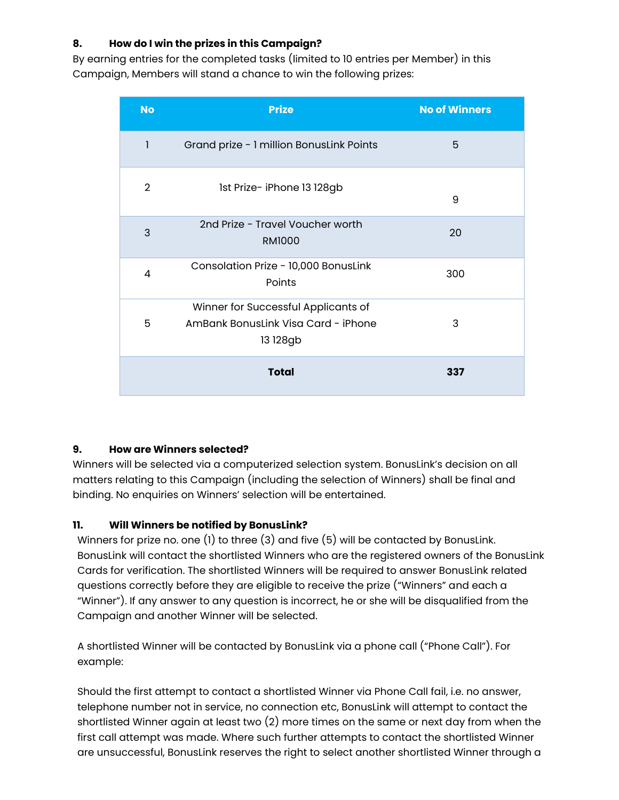# **8. How do I win the prizes in this Campaign?**

By earning entries for the completed tasks (limited to 10 entries per Member) in this Campaign, Members will stand a chance to win the following prizes:

| <b>No</b>      | <b>Prize</b>                                                                           | <b>No of Winners</b> |
|----------------|----------------------------------------------------------------------------------------|----------------------|
| 1              | Grand prize - 1 million BonusLink Points                                               | 5                    |
| $\overline{2}$ | 1st Prize- iPhone 13 128gb                                                             | 9                    |
| 3              | 2nd Prize - Travel Voucher worth<br><b>RM1000</b>                                      | 20                   |
| 4              | Consolation Prize - 10,000 BonusLink<br>Points                                         | 300                  |
| 5              | Winner for Successful Applicants of<br>AmBank BonusLink Visa Card - iPhone<br>13 128gb | 3                    |
|                | <b>Total</b>                                                                           | 337                  |

### **9. How are Winners selected?**

Winners will be selected via a computerized selection system. BonusLink's decision on all matters relating to this Campaign (including the selection of Winners) shall be final and binding. No enquiries on Winners' selection will be entertained.

## **11. Will Winners be notified by BonusLink?**

Winners for prize no. one (1) to three (3) and five (5) will be contacted by BonusLink. BonusLink will contact the shortlisted Winners who are the registered owners of the BonusLink Cards for verification. The shortlisted Winners will be required to answer BonusLink related questions correctly before they are eligible to receive the prize ("Winners" and each a "Winner"). If any answer to any question is incorrect, he or she will be disqualified from the Campaign and another Winner will be selected.

A shortlisted Winner will be contacted by BonusLink via a phone call ("Phone Call"). For example:

Should the first attempt to contact a shortlisted Winner via Phone Call fail, i.e. no answer, telephone number not in service, no connection etc, BonusLink will attempt to contact the shortlisted Winner again at least two (2) more times on the same or next day from when the first call attempt was made. Where such further attempts to contact the shortlisted Winner are unsuccessful, BonusLink reserves the right to select another shortlisted Winner through a